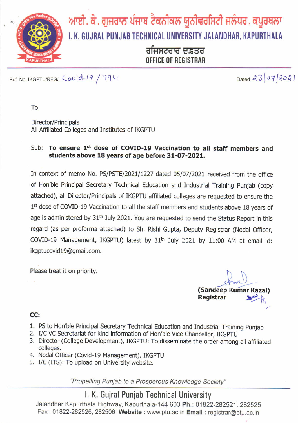

Ref. No. IKGPTU/REG/  $Covid-19$  / 194

 $Dated 23072021$ 

To

Director/Principals All Afflliated Colleges and Institutes of IKGPTU

#### Sub: To ensure 1<sup>st</sup> dose of COVID-19 Vaccination to all staff members and students above 18 years of age before 31-07-2021.

In context of memo No. PS/PSTE/2021/1227 dated 05/07/2021 received from the office of Hon'ble Principal Secretary Technical Education and Industrial Training Punjab (copy attached), all Director/Principals of IKGPTU afflliated colleges are requested to ensure the 1<sup>st</sup> dose of COVID-19 Vaccination to all the staff members and students above 18 years of age is administered by 31<sup>th</sup> July 2021. You are requested to send the Status Report in this regard (as per proforma attached) to Sh. Rishi Gupta, Deputy Registrar (Nodal Officer, COVID-19 Management, IKGPTU) latest by 31<sup>th</sup> July 2021 by 11:00 AM at email id: ikgptucovid19@gmail.com.

Please treat it on priority.

fm (Sandeep Kumar Kazal)<br>Registrar Registrar "Pt

### CC:

- 1. PS to Hon'ble Principal Secretary Technical Education and Industrial Training punjab
- 2. I/C VC Secretariat for kind information of Hon'ble Vice Chancellor, IKGPTU
- 3. Director (College Development), IKGPTU: To disseminate the order among all affiliated colleges.
- 4. Nodal Officer (Covid-19 Management), IKGPTU
- 5. I/C (ITS): To upload on University website.

"Propelling Punjab to a Prosperous Knowledge Society"

### l. K. Gujral Punjab Technical University

Jalandhar Kapurthala Highway, Kapurthala-144 603 Ph.: 01822-282521, 282525 Fax: 01822-282526, 282506 Website : www.ptu.ac.in Email : registrar@ptu.ac.in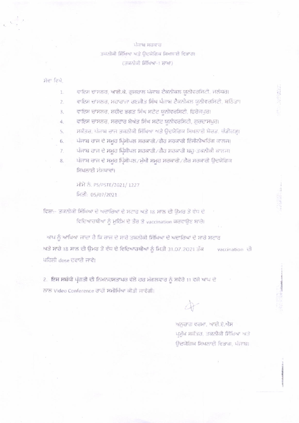#### ਪੰਜਾਬ ਸਰਕਾਰ

### ਤਕਨੀਕੀ ਸਿੱਖਿਆ ਅਤੇ ਉਦਯੋਗਿਕ ਸਿਖਲਾਈ ਵਿਭਾਗ। (ਤਕਨੀਕੀ ਸਿੱਖਿਆ-1 ਸ਼ਾਖਾ)

ਸੇਵਾ ਵਿਖੇ.

- ਵਾਇਸ ਚਾਂਸਲਰ, ਆਈ.ਕੇ. ਗੁਜਰਾਲ ਪੰਜਾਬ ਟੈਕਨੀਕਲ ਯੂਨੀਵਰਸਿਟੀ. ਜਲੰਧਰ। 1.
- ਵਾਇਸ ਚਾਂਸਲਰ, ਮਹਾਰਾਜਾ ਰਣਜੀਤ ਸਿੰਘ ਪੰਜਾਬ ਟੈਕਨੀਕਲ ਯੂਨੀਵਰਸਿਟੀ, ਬਠਿੰਡਾ।  $\overline{2}$ .
- ਵਾਇਸ ਚਾਂਸਲਰ, ਸ਼ਹੀਦ ਭਗਤ ਸਿੰਘ ਸਟੇਟ ਯੂਨੀਵਰਸਿਟੀ, ਫਿਰੈਜਪੁਰ। 3.
- ਵਾਇਸ ਚਾਂਸਲਰ, ਸਰਦਾਰ ਬੇਅੰਤ ਸਿੰਘ ਸਟੇਟ ਯੂਨੀਵਰਸਿਟੀ, ਗੁਰਦਾਸਪੁਰ।  $\ddot{4}$ .
- ਸਕੱਤਰ, ਪੰਜਾਬ ਰਾਜ ਤਕਨੀਕੀ ਸਿੱਖਿਆ ਅਤੇ ਉਦਯੋਗਿਕ ਸਿਖਲਾਈ ਬੋਰਡ, ਚੰਡੀਗੜ੍ਹ। 5.
- ਪੰਜਾਬ ਰਾਜ ਦੇ ਸਮੂਹ ਪ੍ਰਿੰਸੀਪਲ ਸਰਕਾਰੀ/ਗੈਰ ਸਰਕਾਰੀ ਇੰਜੀਨੀਅਰਿੰਗ ਕਾਲਜ। 6.
- ਪੰਜਾਬ ਰਾਜ ਦੇ ਸਮੂਹ ਪ੍ਰਿੰਸੀਪਲ ਸਰਕਾਰੀ / ਗੈਰ ਸਰਕਾਰੀ ਬਹੁ-ਤਕਨੀਕੀ ਕਾਲਜ। 7.
- ਪੰਜਾਬ ਰਾਜ ਦੇ ਸਮੂਹ ਪ੍ਰਿੰਸੀਪਲ /ਮੁੱਖੀ ਸਮੂਹ ਸਰਕਾਰੀ /ਗੈਰ ਸਰਕਾਰੀ ਉਦਯੋਗਿਕ 8. ਸਿਖਲਾਈ ਸੰਸਥਾਵਾਂ।

ਮੀਮੋ ਨੂੰ, PS/PSTE/2021/1227 ਮਿਤੀ: 05/07/2021

ਵਿਸ਼ਾ:- ਤਕਨੀਕੀ ਸਿੱਖਿਆ ਦੇ ਅਦਾਰਿਆਂ ਦੇ ਸਟਾਫ ਅਤੇ 18 ਸਾਲ ਦੀ ਉਮਰ ਤੋਂ ਵੱਧ ਦੇ ਵਿਦਿਆਰਥੀਆਂ ਨੂੰ ਮੁਹਿੰਮ ਦੇ ਤੌਰ ਤੇ vaccination ਕਰਵਾਉਣ ਬਾਰੇ।

ਆਪ ਨੂੰ ਆਖਿਆ ਜਾਂਦਾ ਹੈ ਕਿ ਰਾਜ ਦੇ ਸਾਰੇ ਤਕਨੀਕੀ ਸਿੱਖਿਆ ਦੇ ਅਦਾਰਿਆਂ ਦੇ ਸਾਰੇ ਸਟਾਫ ਅਤੇ ਸਾਰੇ 18 ਸਾਲ ਦੀ ਉਮਰ ਤੋਂ ਵੱਧ ਦੇ ਵਿਦਿਆਰਥੀਆਂ ਨੂੰ ਮਿਤੀ 31.07.2021 ਤੱਕ vaccination 己 ਪਹਿਲੀ dose ਦਵਾਈ ਜਾਵੇ।

2. ਇਸ ਸਬੰਧੀ ਪ੍ਰੋਗਤੀ ਦੀ ਨਿਮਨਹਸਤਾਖਰ ਵੱਲੋਂ ਹਰ ਮੰਗਲਵਾਰ ਨੂੰ ਸਵੇਰੇ 11 ਵਜੇ ਆਪ ਦੇ ਨਾਲ Video Conference ਰਾਹੀਂ ਸਮੀਖਿੱਆ ਕੀਤੀ ਜਾਵੇਗੀ।

ਅਨੁਰਾਗ ਵਰਮਾ, ਆਈ.ਏ.ਐਸ ਪ੍ਰਮੁੱਖ ਸਕੱਤਰ, ਤਕਨੀਕੀ ਸਿੱਖਿਆ ਅਤੇ ਉਦਯੋਗਿਕ ਸਿਖਲਾਈ ਵਿਭਾਗ, ਪੰਜਾਬ।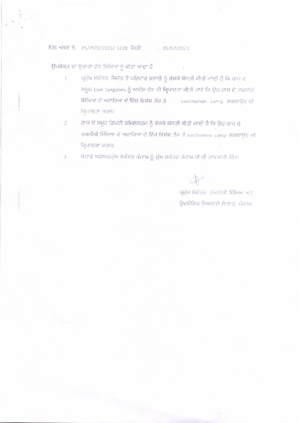#### ਪਿੰਠ ਅੰਕਣ ਨੰ. PS/PSTE/2021/1228 ਮਿਤੀ : 05/07/2021

ਉਪਰੋਕਤ ਦਾ ਉਤਾਰਾ ਹੇਠ ਲਿਖਿਆ ਨੂੰ ਕੀਤਾ ਜਾਂਦਾ ਹੈ

- ਪ੍ਰਮੁੱਖ ਸਕੱਤਰ, ਸਿਹਤ ਤੇ ਪਰਿਵਾਰ ਭਲਾਈ ਨੂੰ ਭੇਜਕੇ ਬੇਨਤੀ ਕੀਤੀ ਜਾਂਦੀ ਹੈ ਕਿ ਰਾਜ ਦੇ  $1.$ ਸਮੂਹ Civil Surgeons ਨੂੰ ਆਦੇਸ਼ ਦੇਣ ਦੀ ਕ੍ਰਿਪਾਲਤਾ ਕੀਤੀ ਜਾਵੇ ਕਿ ਉਹ ਰਾਜ ਦੇ ਤਕਨੀਕੀ ਸਿੱਖਿਆ ਦੇ ਅਦਾਰਿਆਂ ਦੇ ਵਿੱਚ ਵਿਸ਼ੇਸ਼ ਤੌਰ ਤੇ vaccination camp ਲਗਵਾਉਣ ਦੀ ਕਿਪਾਲਤਾ ਕਰਨ।
- ਰਾਜ ਦੇ ਸਮੂਹ ਡਿਪਟੀ ਕਮਿਸ਼ਨਰਜ ਨੂੰ ਭੇਜਕੇ ਬੇਨਤੀ ਕੀਤੀ ਜਾਂਦੀ ਹੈ ਕਿ ਉਹ ਰਾਜ ਦੇ  $2.$ ਤਕਨੀਕੀ ਸਿੱਖਿਆ ਦੇ ਅਦਾਰਿਆਂ ਦੇ ਵਿੱਚ ਵਿਸ਼ੇਸ਼ ਤੌਰ ਤੇ vaccination camp ਲਗਵਾਉਣ ਦੀ ਕ੍ਰਿਪਾਲਤਾ ਕਰਨ।
- ਸਟਾਫ ਅਫਸਰ/ਮੁੱਖ ਸਕੱਤਰ ਪੰਜਾਬ ਨੂੰ ਮੁੱਖ ਸਕੱਤਰ ਪੰਜਾਬ ਜੀ ਦੀ ਜਾਣਕਾਰੀ ਹਿੱਤ।  $3.$

ਪ੍ਰਮੁੱਖ ਸਕੱਤਰ ਤਕਨੀਕੀ ਸਿੱਖਿਆ ਅਤੇ ਉਦਯੋਗਿਕ ਸਿਖਲਾਈ ਵਿਭਾਗ, ਪੰਜਾਬ।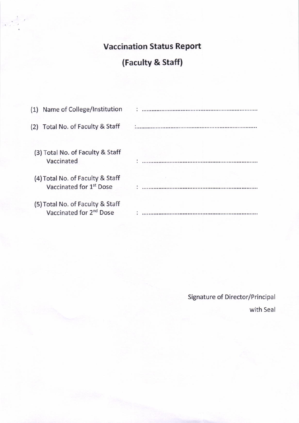### Vaccination Status Report

# (Faculty & Staff)

| (1) Name of College/Institution                                         |  |
|-------------------------------------------------------------------------|--|
| (2) Total No. of Faculty & Staff                                        |  |
| (3) Total No. of Faculty & Staff<br>Vaccinated                          |  |
| (4) Total No. of Faculty & Staff<br>Vaccinated for 1 <sup>st</sup> Dose |  |
| (5) Total No. of Faculty & Staff<br>Vaccinated for 2 <sup>nd</sup> Dose |  |

Signature of Director/Principal with Seal